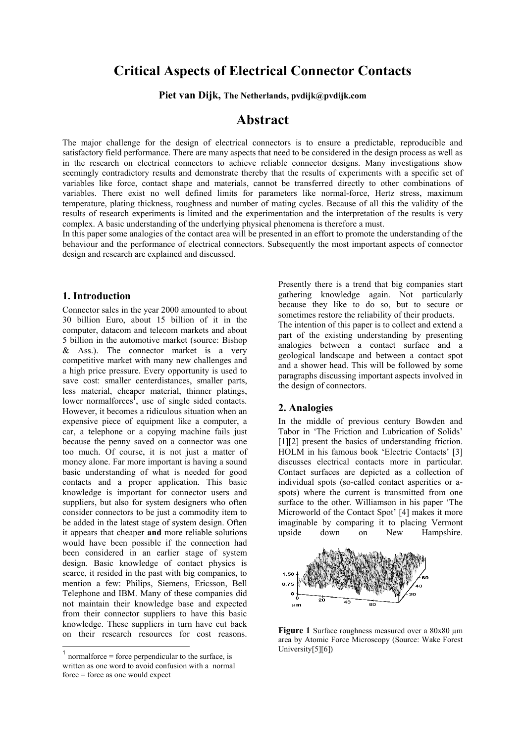# **Critical Aspects of Electrical Connector Contacts**

**Piet van Dijk, The Netherlands, pvdijk@pvdijk.com**

# **Abstract**

The major challenge for the design of electrical connectors is to ensure a predictable, reproducible and satisfactory field performance. There are many aspects that need to be considered in the design process as well as in the research on electrical connectors to achieve reliable connector designs. Many investigations show seemingly contradictory results and demonstrate thereby that the results of experiments with a specific set of variables like force, contact shape and materials, cannot be transferred directly to other combinations of variables. There exist no well defined limits for parameters like normal-force, Hertz stress, maximum temperature, plating thickness, roughness and number of mating cycles. Because of all this the validity of the results of research experiments is limited and the experimentation and the interpretation of the results is very complex. A basic understanding of the underlying physical phenomena is therefore a must.

In this paper some analogies of the contact area will be presented in an effort to promote the understanding of the behaviour and the performance of electrical connectors. Subsequently the most important aspects of connector design and research are explained and discussed.

#### **1. Introduction**

Connector sales in the year 2000 amounted to about 30 billion Euro, about 15 billion of it in the computer, datacom and telecom markets and about 5 billion in the automotive market (source: Bishop & Ass.). The connector market is a very competitive market with many new challenges and a high price pressure. Every opportunity is used to save cost: smaller centerdistances, smaller parts, less material, cheaper material, thinner platings, lower normalforces<sup>1</sup>, use of single sided contacts. However, it becomes a ridiculous situation when an expensive piece of equipment like a computer, a car, a telephone or a copying machine fails just because the penny saved on a connector was one too much. Of course, it is not just a matter of money alone. Far more important is having a sound basic understanding of what is needed for good contacts and a proper application. This basic knowledge is important for connector users and suppliers, but also for system designers who often consider connectors to be just a commodity item to be added in the latest stage of system design. Often it appears that cheaper **and** more reliable solutions would have been possible if the connection had been considered in an earlier stage of system design. Basic knowledge of contact physics is scarce, it resided in the past with big companies, to mention a few: Philips, Siemens, Ericsson, Bell Telephone and IBM. Many of these companies did not maintain their knowledge base and expected from their connector suppliers to have this basic knowledge. These suppliers in turn have cut back on their research resources for cost reasons.

1

Presently there is a trend that big companies start gathering knowledge again. Not particularly because they like to do so, but to secure or sometimes restore the reliability of their products. The intention of this paper is to collect and extend a part of the existing understanding by presenting analogies between a contact surface and a geological landscape and between a contact spot and a shower head. This will be followed by some paragraphs discussing important aspects involved in the design of connectors.

#### **2. Analogies**

In the middle of previous century Bowden and Tabor in 'The Friction and Lubrication of Solids' [1][2] present the basics of understanding friction. HOLM in his famous book 'Electric Contacts' [3] discusses electrical contacts more in particular. Contact surfaces are depicted as a collection of individual spots (so-called contact asperities or aspots) where the current is transmitted from one surface to the other. Williamson in his paper 'The Microworld of the Contact Spot' [4] makes it more imaginable by comparing it to placing Vermont upside down on New Hampshire.



**Figure 1** Surface roughness measured over a 80x80  $\mu$ m area by Atomic Force Microscopy (Source: Wake Forest University[5][6])

 $<sup>1</sup>$  normalforce = force perpendicular to the surface, is</sup> written as one word to avoid confusion with a normal force = force as one would expect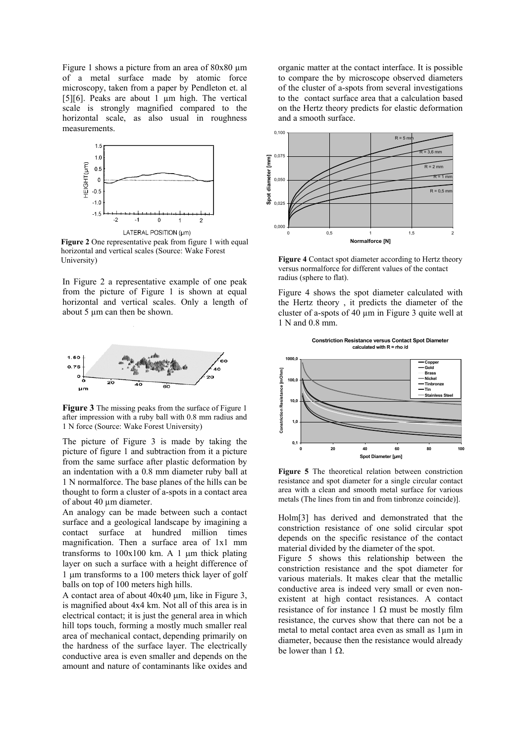Figure 1 shows a picture from an area of  $80x80 \mu m$ of a metal surface made by atomic force microscopy, taken from a paper by Pendleton et. al [5][6]. Peaks are about 1 µm high. The vertical scale is strongly magnified compared to the horizontal scale, as also usual in roughness measurements.



**Figure 2** One representative peak from figure 1 with equal horizontal and vertical scales (Source: Wake Forest University)

In Figure 2 a representative example of one peak from the picture of Figure 1 is shown at equal horizontal and vertical scales. Only a length of about 5 µm can then be shown.



**Figure 3** The missing peaks from the surface of Figure 1 after impression with a ruby ball with 0.8 mm radius and 1 N force (Source: Wake Forest University)

The picture of Figure 3 is made by taking the picture of figure 1 and subtraction from it a picture from the same surface after plastic deformation by an indentation with a 0.8 mm diameter ruby ball at 1 N normalforce. The base planes of the hills can be thought to form a cluster of a-spots in a contact area of about 40 um diameter.

An analogy can be made between such a contact surface and a geological landscape by imagining a contact surface at hundred million times magnification. Then a surface area of 1x1 mm transforms to  $100x100$  km. A 1  $\mu$ m thick plating layer on such a surface with a height difference of 1 µm transforms to a 100 meters thick layer of golf balls on top of 100 meters high hills.

A contact area of about  $40x40$  um, like in Figure 3. is magnified about 4x4 km. Not all of this area is in electrical contact; it is just the general area in which hill tops touch, forming a mostly much smaller real area of mechanical contact, depending primarily on the hardness of the surface layer. The electrically conductive area is even smaller and depends on the amount and nature of contaminants like oxides and

organic matter at the contact interface. It is possible to compare the by microscope observed diameters of the cluster of a-spots from several investigations to the contact surface area that a calculation based on the Hertz theory predicts for elastic deformation and a smooth surface.



**Figure 4** Contact spot diameter according to Hertz theory versus normalforce for different values of the contact radius (sphere to flat).

Figure 4 shows the spot diameter calculated with the Hertz theory , it predicts the diameter of the cluster of a-spots of 40 µm in Figure 3 quite well at 1 N and 0.8 mm.



**Constriction Resistance versus Contact Spot Diameter calculated with R = rho /d**

**Figure 5** The theoretical relation between constriction resistance and spot diameter for a single circular contact area with a clean and smooth metal surface for various metals (The lines from tin and from tinbronze coincide)].

Holm[3] has derived and demonstrated that the constriction resistance of one solid circular spot depends on the specific resistance of the contact material divided by the diameter of the spot.

Figure 5 shows this relationship between the constriction resistance and the spot diameter for various materials. It makes clear that the metallic conductive area is indeed very small or even nonexistent at high contact resistances. A contact resistance of for instance 1  $\Omega$  must be mostly film resistance, the curves show that there can not be a metal to metal contact area even as small as 1µm in diameter, because then the resistance would already be lower than 1 Ω.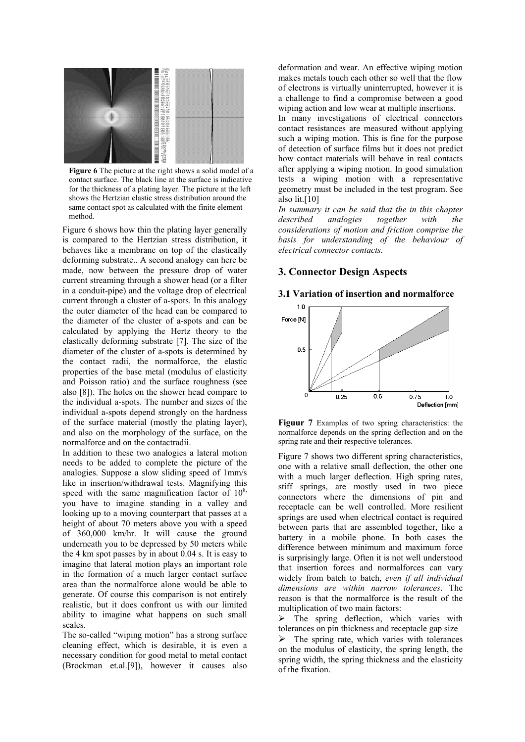

**Figure 6** The picture at the right shows a solid model of a contact surface. The black line at the surface is indicative for the thickness of a plating layer. The picture at the left shows the Hertzian elastic stress distribution around the same contact spot as calculated with the finite element method.

Figure 6 shows how thin the plating layer generally is compared to the Hertzian stress distribution, it behaves like a membrane on top of the elastically deforming substrate.. A second analogy can here be made, now between the pressure drop of water current streaming through a shower head (or a filter in a conduit-pipe) and the voltage drop of electrical current through a cluster of a-spots. In this analogy the outer diameter of the head can be compared to the diameter of the cluster of a-spots and can be calculated by applying the Hertz theory to the elastically deforming substrate [7]. The size of the diameter of the cluster of a-spots is determined by the contact radii, the normalforce, the elastic properties of the base metal (modulus of elasticity and Poisson ratio) and the surface roughness (see also [8]). The holes on the shower head compare to the individual a-spots. The number and sizes of the individual a-spots depend strongly on the hardness of the surface material (mostly the plating layer), and also on the morphology of the surface, on the normalforce and on the contactradii.

In addition to these two analogies a lateral motion needs to be added to complete the picture of the analogies. Suppose a slow sliding speed of 1mm/s like in insertion/withdrawal tests. Magnifying this speed with the same magnification factor of  $10^{8}$ , you have to imagine standing in a valley and looking up to a moving counterpart that passes at a height of about 70 meters above you with a speed of 360,000 km/hr. It will cause the ground underneath you to be depressed by 50 meters while the 4 km spot passes by in about 0.04 s. It is easy to imagine that lateral motion plays an important role in the formation of a much larger contact surface area than the normalforce alone would be able to generate. Of course this comparison is not entirely realistic, but it does confront us with our limited ability to imagine what happens on such small scales.

The so-called "wiping motion" has a strong surface cleaning effect, which is desirable, it is even a necessary condition for good metal to metal contact (Brockman et.al.[9]), however it causes also

deformation and wear. An effective wiping motion makes metals touch each other so well that the flow of electrons is virtually uninterrupted, however it is a challenge to find a compromise between a good wiping action and low wear at multiple insertions.

In many investigations of electrical connectors contact resistances are measured without applying such a wiping motion. This is fine for the purpose of detection of surface films but it does not predict how contact materials will behave in real contacts after applying a wiping motion. In good simulation tests a wiping motion with a representative geometry must be included in the test program. See also lit.[10]

*In summary it can be said that the in this chapter described analogies together with the considerations of motion and friction comprise the basis for understanding of the behaviour of electrical connector contacts.*

#### **3. Connector Design Aspects**

#### **3.1 Variation of insertion and normalforce**





Figure 7 shows two different spring characteristics, one with a relative small deflection, the other one with a much larger deflection. High spring rates, stiff springs, are mostly used in two piece connectors where the dimensions of pin and receptacle can be well controlled. More resilient springs are used when electrical contact is required between parts that are assembled together, like a battery in a mobile phone. In both cases the difference between minimum and maximum force is surprisingly large. Often it is not well understood that insertion forces and normalforces can vary widely from batch to batch, *even if all individual dimensions are within narrow tolerances*. The reason is that the normalforce is the result of the multiplication of two main factors:

 $\triangleright$  The spring deflection, which varies with tolerances on pin thickness and receptacle gap size  $\triangleright$  The spring rate, which varies with tolerances on the modulus of elasticity, the spring length, the spring width, the spring thickness and the elasticity of the fixation.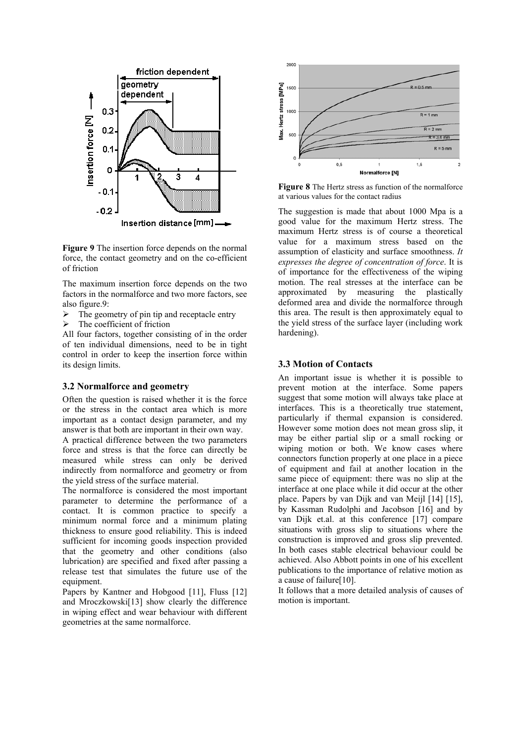

**Figure 9** The insertion force depends on the normal force, the contact geometry and on the co-efficient of friction

The maximum insertion force depends on the two factors in the normalforce and two more factors, see also figure.9:

- $\triangleright$  The geometry of pin tip and receptacle entry
- $\triangleright$  The coefficient of friction

All four factors, together consisting of in the order of ten individual dimensions, need to be in tight control in order to keep the insertion force within its design limits.

#### **3.2 Normalforce and geometry**

Often the question is raised whether it is the force or the stress in the contact area which is more important as a contact design parameter, and my answer is that both are important in their own way.

A practical difference between the two parameters force and stress is that the force can directly be measured while stress can only be derived indirectly from normalforce and geometry or from the yield stress of the surface material.

The normalforce is considered the most important parameter to determine the performance of a contact. It is common practice to specify a minimum normal force and a minimum plating thickness to ensure good reliability. This is indeed sufficient for incoming goods inspection provided that the geometry and other conditions (also lubrication) are specified and fixed after passing a release test that simulates the future use of the equipment.

Papers by Kantner and Hobgood [11], Fluss [12] and Mroczkowski[13] show clearly the difference in wiping effect and wear behaviour with different geometries at the same normalforce.



**Figure 8** The Hertz stress as function of the normalforce at various values for the contact radius

The suggestion is made that about 1000 Mpa is a good value for the maximum Hertz stress. The maximum Hertz stress is of course a theoretical value for a maximum stress based on the assumption of elasticity and surface smoothness. *It expresses the degree of concentration of force*. It is of importance for the effectiveness of the wiping motion. The real stresses at the interface can be approximated by measuring the plastically deformed area and divide the normalforce through this area. The result is then approximately equal to the yield stress of the surface layer (including work hardening).

#### **3.3 Motion of Contacts**

An important issue is whether it is possible to prevent motion at the interface. Some papers suggest that some motion will always take place at interfaces. This is a theoretically true statement, particularly if thermal expansion is considered. However some motion does not mean gross slip, it may be either partial slip or a small rocking or wiping motion or both. We know cases where connectors function properly at one place in a piece of equipment and fail at another location in the same piece of equipment: there was no slip at the interface at one place while it did occur at the other place. Papers by van Dijk and van Meijl [14] [15], by Kassman Rudolphi and Jacobson [16] and by van Dijk et.al. at this conference [17] compare situations with gross slip to situations where the construction is improved and gross slip prevented. In both cases stable electrical behaviour could be achieved. Also Abbott points in one of his excellent publications to the importance of relative motion as a cause of failure[10].

It follows that a more detailed analysis of causes of motion is important.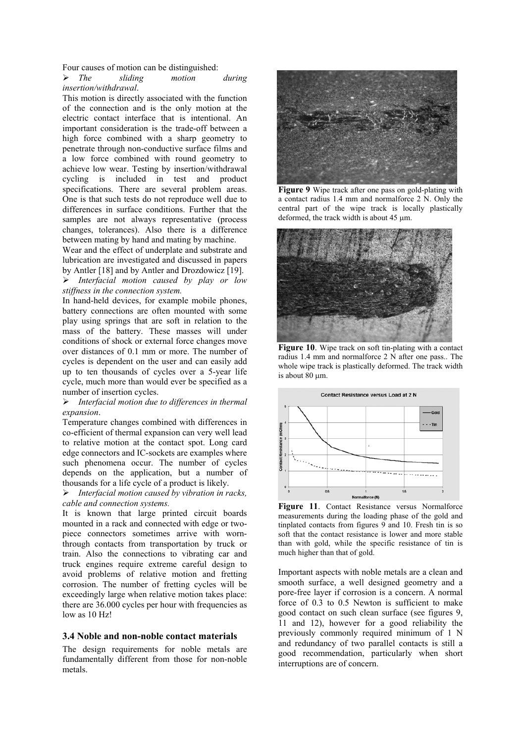Four causes of motion can be distinguished:

¾ *The sliding motion during insertion/withdrawal*.

This motion is directly associated with the function of the connection and is the only motion at the electric contact interface that is intentional. An important consideration is the trade-off between a high force combined with a sharp geometry to penetrate through non-conductive surface films and a low force combined with round geometry to achieve low wear. Testing by insertion/withdrawal cycling is included in test and product specifications. There are several problem areas. One is that such tests do not reproduce well due to differences in surface conditions. Further that the samples are not always representative (process changes, tolerances). Also there is a difference between mating by hand and mating by machine.

Wear and the effect of underplate and substrate and lubrication are investigated and discussed in papers by Antler [18] and by Antler and Drozdowicz [19].

¾ *Interfacial motion caused by play or low stiffness in the connection system.* 

In hand-held devices, for example mobile phones, battery connections are often mounted with some play using springs that are soft in relation to the mass of the battery. These masses will under conditions of shock or external force changes move over distances of 0.1 mm or more. The number of cycles is dependent on the user and can easily add up to ten thousands of cycles over a 5-year life cycle, much more than would ever be specified as a number of insertion cycles.

¾ *Interfacial motion due to differences in thermal expansion*.

Temperature changes combined with differences in co-efficient of thermal expansion can very well lead to relative motion at the contact spot. Long card edge connectors and IC-sockets are examples where such phenomena occur. The number of cycles depends on the application, but a number of thousands for a life cycle of a product is likely.

¾ *Interfacial motion caused by vibration in racks, cable and connection systems.* 

It is known that large printed circuit boards mounted in a rack and connected with edge or twopiece connectors sometimes arrive with wornthrough contacts from transportation by truck or train. Also the connections to vibrating car and truck engines require extreme careful design to avoid problems of relative motion and fretting corrosion. The number of fretting cycles will be exceedingly large when relative motion takes place: there are 36.000 cycles per hour with frequencies as low as 10 Hz!

#### **3.4 Noble and non-noble contact materials**

The design requirements for noble metals are fundamentally different from those for non-noble metals.



**Figure 9** Wipe track after one pass on gold-plating with a contact radius 1.4 mm and normalforce 2 N. Only the central part of the wipe track is locally plastically deformed, the track width is about 45 µm.



**Figure 10**. Wipe track on soft tin-plating with a contact radius 1.4 mm and normalforce 2 N after one pass.. The whole wipe track is plastically deformed. The track width is about 80 µm.



Figure 11. Contact Resistance versus Normalforce measurements during the loading phase of the gold and tinplated contacts from figures 9 and 10. Fresh tin is so soft that the contact resistance is lower and more stable than with gold, while the specific resistance of tin is much higher than that of gold.

Important aspects with noble metals are a clean and smooth surface, a well designed geometry and a pore-free layer if corrosion is a concern. A normal force of 0.3 to 0.5 Newton is sufficient to make good contact on such clean surface (see figures 9, 11 and 12), however for a good reliability the previously commonly required minimum of 1 N and redundancy of two parallel contacts is still a good recommendation, particularly when short interruptions are of concern.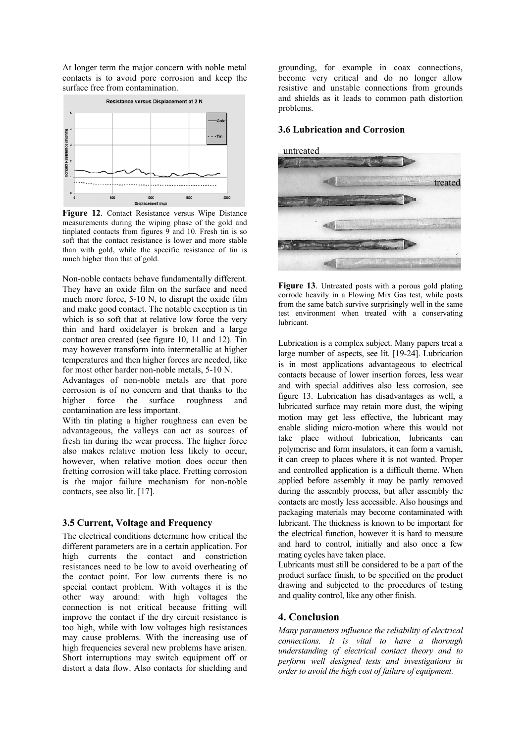At longer term the major concern with noble metal contacts is to avoid pore corrosion and keep the surface free from contamination.



**Figure 12**. Contact Resistance versus Wipe Distance measurements during the wiping phase of the gold and tinplated contacts from figures 9 and 10. Fresh tin is so soft that the contact resistance is lower and more stable than with gold, while the specific resistance of tin is much higher than that of gold.

Non-noble contacts behave fundamentally different. They have an oxide film on the surface and need much more force, 5-10 N, to disrupt the oxide film and make good contact. The notable exception is tin which is so soft that at relative low force the very thin and hard oxidelayer is broken and a large contact area created (see figure 10, 11 and 12). Tin may however transform into intermetallic at higher temperatures and then higher forces are needed, like for most other harder non-noble metals, 5-10 N.

Advantages of non-noble metals are that pore corrosion is of no concern and that thanks to the higher force the surface roughness and contamination are less important.

With tin plating a higher roughness can even be advantageous, the valleys can act as sources of fresh tin during the wear process. The higher force also makes relative motion less likely to occur, however, when relative motion does occur then fretting corrosion will take place. Fretting corrosion is the major failure mechanism for non-noble contacts, see also lit. [17].

#### **3.5 Current, Voltage and Frequency**

The electrical conditions determine how critical the different parameters are in a certain application. For high currents the contact and constriction resistances need to be low to avoid overheating of the contact point. For low currents there is no special contact problem. With voltages it is the other way around: with high voltages the connection is not critical because fritting will improve the contact if the dry circuit resistance is too high, while with low voltages high resistances may cause problems. With the increasing use of high frequencies several new problems have arisen. Short interruptions may switch equipment off or distort a data flow. Also contacts for shielding and

grounding, for example in coax connections, become very critical and do no longer allow resistive and unstable connections from grounds and shields as it leads to common path distortion problems.

## **3.6 Lubrication and Corrosion**



Figure 13. Untreated posts with a porous gold plating corrode heavily in a Flowing Mix Gas test, while posts from the same batch survive surprisingly well in the same test environment when treated with a conservating lubricant.

Lubrication is a complex subject. Many papers treat a large number of aspects, see lit. [19-24]. Lubrication is in most applications advantageous to electrical contacts because of lower insertion forces, less wear and with special additives also less corrosion, see figure 13. Lubrication has disadvantages as well, a lubricated surface may retain more dust, the wiping motion may get less effective, the lubricant may enable sliding micro-motion where this would not take place without lubrication, lubricants can polymerise and form insulators, it can form a varnish, it can creep to places where it is not wanted. Proper and controlled application is a difficult theme. When applied before assembly it may be partly removed during the assembly process, but after assembly the contacts are mostly less accessible. Also housings and packaging materials may become contaminated with lubricant. The thickness is known to be important for the electrical function, however it is hard to measure and hard to control, initially and also once a few mating cycles have taken place.

Lubricants must still be considered to be a part of the product surface finish, to be specified on the product drawing and subjected to the procedures of testing and quality control, like any other finish.

### **4. Conclusion**

*Many parameters influence the reliability of electrical connections. It is vital to have a thorough understanding of electrical contact theory and to perform well designed tests and investigations in order to avoid the high cost of failure of equipment.*